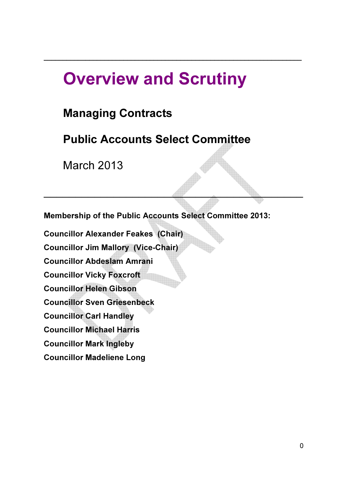# Overview and Scrutiny

\_\_\_\_\_\_\_\_\_\_\_\_\_\_\_\_\_\_\_\_\_\_\_\_\_\_\_\_\_\_\_\_\_\_\_\_\_\_\_\_\_\_\_\_\_\_\_\_\_\_\_\_\_\_\_\_\_\_\_\_\_\_\_\_\_\_\_\_

## Managing Contracts

## Public Accounts Select Committee

March 2013

Ξ

Membership of the Public Accounts Select Committee 2013:

 $\mathcal{L}=\mathcal{L}=\mathcal{L}=\mathcal{L}=\mathcal{L}=\mathcal{L}=\mathcal{L}=\mathcal{L}=\mathcal{L}=\mathcal{L}=\mathcal{L}=\mathcal{L}=\mathcal{L}=\mathcal{L}=\mathcal{L}=\mathcal{L}=\mathcal{L}=\mathcal{L}=\mathcal{L}=\mathcal{L}=\mathcal{L}=\mathcal{L}=\mathcal{L}=\mathcal{L}=\mathcal{L}=\mathcal{L}=\mathcal{L}=\mathcal{L}=\mathcal{L}=\mathcal{L}=\mathcal{L}=\mathcal{L}=\mathcal{L}=\mathcal{L}=\mathcal{L}=\mathcal{L}=\mathcal{$ 

Councillor Alexander Feakes (Chair) Councillor Jim Mallory (Vice-Chair) Councillor Abdeslam Amrani Councillor Vicky Foxcroft Councillor Helen Gibson Councillor Sven Griesenbeck Councillor Carl Handley Councillor Michael Harris Councillor Mark Ingleby Councillor Madeliene Long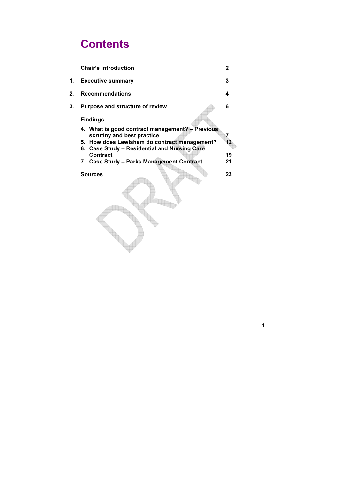# **Contents**

|    | <b>Chair's introduction</b>                                                                                                                                                                                                                   | $\mathbf 2$         |
|----|-----------------------------------------------------------------------------------------------------------------------------------------------------------------------------------------------------------------------------------------------|---------------------|
| 1. | <b>Executive summary</b>                                                                                                                                                                                                                      | 3                   |
| 2. | <b>Recommendations</b>                                                                                                                                                                                                                        | 4                   |
| 3. | <b>Purpose and structure of review</b><br><b>Findings</b>                                                                                                                                                                                     | 6                   |
|    | 4. What is good contract management? - Previous<br>scrutiny and best practice<br>5. How does Lewisham do contract management?<br>6. Case Study – Residential and Nursing Care<br><b>Contract</b><br>7. Case Study - Parks Management Contract | 7<br>12<br>19<br>21 |
|    | <b>Sources</b>                                                                                                                                                                                                                                | 23                  |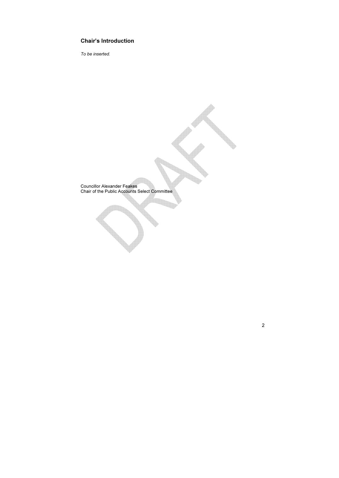2

## Chair's Introduction

To be inserted.

Councillor Alexander Feakes Chair of the Public Accounts Select Committee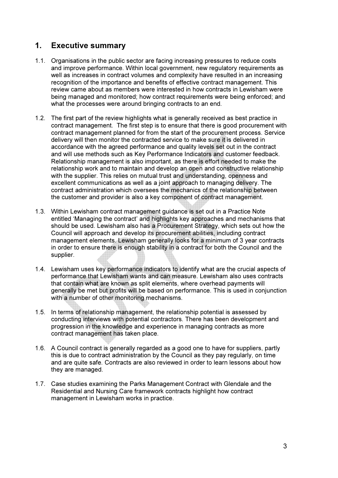## 1. Executive summary

- 1.1. Organisations in the public sector are facing increasing pressures to reduce costs and improve performance. Within local government, new regulatory requirements as well as increases in contract volumes and complexity have resulted in an increasing recognition of the importance and benefits of effective contract management. This review came about as members were interested in how contracts in Lewisham were being managed and monitored; how contract requirements were being enforced; and what the processes were around bringing contracts to an end.
- 1.2. The first part of the review highlights what is generally received as best practice in contract management. The first step is to ensure that there is good procurement with contract management planned for from the start of the procurement process. Service delivery will then monitor the contracted service to make sure it is delivered in accordance with the agreed performance and quality levels set out in the contract and will use methods such as Key Performance Indicators and customer feedback. Relationship management is also important, as there is effort needed to make the relationship work and to maintain and develop an open and constructive relationship with the supplier. This relies on mutual trust and understanding, openness and excellent communications as well as a joint approach to managing delivery. The contract administration which oversees the mechanics of the relationship between the customer and provider is also a key component of contract management.
- 1.3. Within Lewisham contract management guidance is set out in a Practice Note entitled 'Managing the contract' and highlights key approaches and mechanisms that should be used. Lewisham also has a Procurement Strategy, which sets out how the Council will approach and develop its procurement abilities, including contract management elements. Lewisham generally looks for a minimum of 3 year contracts in order to ensure there is enough stability in a contract for both the Council and the supplier.
- 1.4. Lewisham uses key performance indicators to identify what are the crucial aspects of performance that Lewisham wants and can measure. Lewisham also uses contracts that contain what are known as split elements, where overhead payments will generally be met but profits will be based on performance. This is used in conjunction with a number of other monitoring mechanisms.
- 1.5. In terms of relationship management, the relationship potential is assessed by conducting interviews with potential contractors. There has been development and progression in the knowledge and experience in managing contracts as more contract management has taken place.
- 1.6. A Council contract is generally regarded as a good one to have for suppliers, partly this is due to contract administration by the Council as they pay regularly, on time and are quite safe. Contracts are also reviewed in order to learn lessons about how they are managed.
- 1.7. Case studies examining the Parks Management Contract with Glendale and the Residential and Nursing Care framework contracts highlight how contract management in Lewisham works in practice.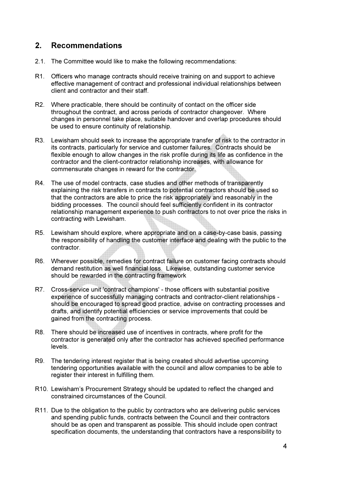## 2. Recommendations

- 2.1. The Committee would like to make the following recommendations:
- R1. Officers who manage contracts should receive training on and support to achieve effective management of contract and professional individual relationships between client and contractor and their staff.
- R2. Where practicable, there should be continuity of contact on the officer side throughout the contract, and across periods of contractor changeover. Where changes in personnel take place, suitable handover and overlap procedures should be used to ensure continuity of relationship.
- R3. Lewisham should seek to increase the appropriate transfer of risk to the contractor in its contracts, particularly for service and customer failures. Contracts should be flexible enough to allow changes in the risk profile during its life as confidence in the contractor and the client-contractor relationship increases, with allowance for commensurate changes in reward for the contractor.
- R4. The use of model contracts, case studies and other methods of transparently explaining the risk transfers in contracts to potential contractors should be used so that the contractors are able to price the risk appropriately and reasonably in the bidding processes. The council should feel sufficiently confident in its contractor relationship management experience to push contractors to not over price the risks in contracting with Lewisham.
- R5. Lewisham should explore, where appropriate and on a case-by-case basis, passing the responsibility of handling the customer interface and dealing with the public to the contractor.
- R6. Wherever possible, remedies for contract failure on customer facing contracts should demand restitution as well financial loss. Likewise, outstanding customer service should be rewarded in the contracting framework
- R7. Cross-service unit 'contract champions' those officers with substantial positive experience of successfully managing contracts and contractor-client relationships should be encouraged to spread good practice, advise on contracting processes and drafts, and identify potential efficiencies or service improvements that could be gained from the contracting process.
- R8. There should be increased use of incentives in contracts, where profit for the contractor is generated only after the contractor has achieved specified performance levels.
- R9. The tendering interest register that is being created should advertise upcoming tendering opportunities available with the council and allow companies to be able to register their interest in fulfilling them.
- R10. Lewisham's Procurement Strategy should be updated to reflect the changed and constrained circumstances of the Council.
- R11. Due to the obligation to the public by contractors who are delivering public services and spending public funds, contracts between the Council and their contractors should be as open and transparent as possible. This should include open contract specification documents, the understanding that contractors have a responsibility to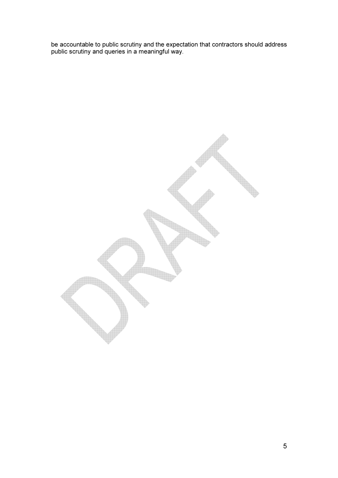be accountable to public scrutiny and the expectation that contractors should address public scrutiny and queries in a meaningful way.

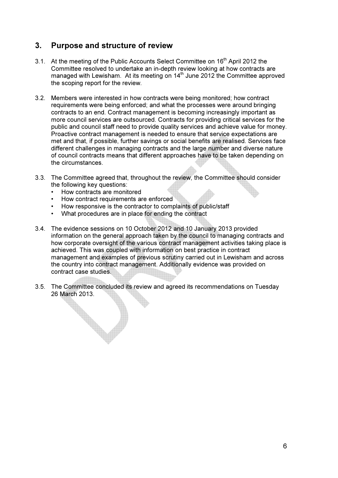## 3. Purpose and structure of review

- 3.1. At the meeting of the Public Accounts Select Committee on 16<sup>th</sup> April 2012 the Committee resolved to undertake an in-depth review looking at how contracts are managed with Lewisham. At its meeting on 14<sup>th</sup> June 2012 the Committee approved the scoping report for the review.
- 3.2. Members were interested in how contracts were being monitored; how contract requirements were being enforced; and what the processes were around bringing contracts to an end. Contract management is becoming increasingly important as more council services are outsourced. Contracts for providing critical services for the public and council staff need to provide quality services and achieve value for money. Proactive contract management is needed to ensure that service expectations are met and that, if possible, further savings or social benefits are realised. Services face different challenges in managing contracts and the large number and diverse nature of council contracts means that different approaches have to be taken depending on the circumstances.
- 3.3. The Committee agreed that, throughout the review, the Committee should consider the following key questions:
	- How contracts are monitored
	- How contract requirements are enforced
	- How responsive is the contractor to complaints of public/staff
	- What procedures are in place for ending the contract
- 3.4. The evidence sessions on 10 October 2012 and 10 January 2013 provided information on the general approach taken by the council to managing contracts and how corporate oversight of the various contract management activities taking place is achieved. This was coupled with information on best practice in contract management and examples of previous scrutiny carried out in Lewisham and across the country into contract management. Additionally evidence was provided on contract case studies.
- 3.5. The Committee concluded its review and agreed its recommendations on Tuesday 26 March 2013.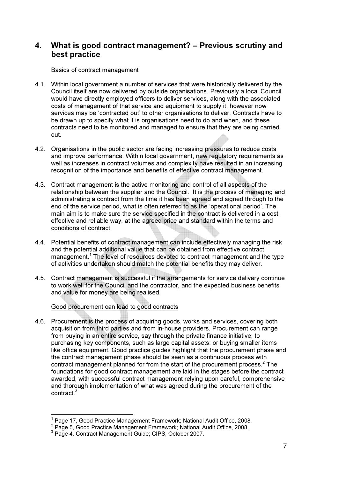## 4. What is good contract management? – Previous scrutiny and best practice

#### Basics of contract management

- 4.1. Within local government a number of services that were historically delivered by the Council itself are now delivered by outside organisations. Previously a local Council would have directly employed officers to deliver services, along with the associated costs of management of that service and equipment to supply it, however now services may be 'contracted out' to other organisations to deliver. Contracts have to be drawn up to specify what it is organisations need to do and when, and these contracts need to be monitored and managed to ensure that they are being carried out.
- 4.2. Organisations in the public sector are facing increasing pressures to reduce costs and improve performance. Within local government, new regulatory requirements as well as increases in contract volumes and complexity have resulted in an increasing recognition of the importance and benefits of effective contract management.
- 4.3. Contract management is the active monitoring and control of all aspects of the relationship between the supplier and the Council. It is the process of managing and administrating a contract from the time it has been agreed and signed through to the end of the service period, what is often referred to as the 'operational period'. The main aim is to make sure the service specified in the contract is delivered in a cost effective and reliable way, at the agreed price and standard within the terms and conditions of contract.
- 4.4. Potential benefits of contract management can include effectively managing the risk and the potential additional value that can be obtained from effective contract management.<sup>1</sup> The level of resources devoted to contract management and the type of activities undertaken should match the potential benefits they may deliver.
- 4.5. Contract management is successful if the arrangements for service delivery continue to work well for the Council and the contractor, and the expected business benefits and value for money are being realised.

#### Good procurement can lead to good contracts

4.6. Procurement is the process of acquiring goods, works and services, covering both acquisition from third parties and from in-house providers. Procurement can range from buying in an entire service, say through the private finance initiative; to purchasing key components, such as large capital assets; or buying smaller items like office equipment. Good practice guides highlight that the procurement phase and the contract management phase should be seen as a continuous process with contract management planned for from the start of the procurement process. $2$  The foundations for good contract management are laid in the stages before the contract awarded, with successful contract management relying upon careful, comprehensive and thorough implementation of what was agreed during the procurement of the contract.<sup>3</sup>

 $\overline{a}$ 

 $1$  Page 17, Good Practice Management Framework; National Audit Office, 2008.

<sup>&</sup>lt;sup>2</sup> Page 5, Good Practice Management Framework; National Audit Office, 2008.

<sup>3</sup> Page 4, Contract Management Guide; CIPS, October 2007.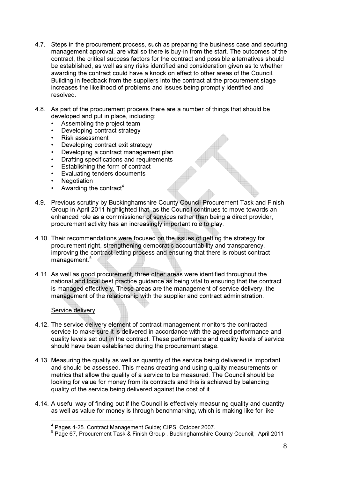- 4.7. Steps in the procurement process, such as preparing the business case and securing management approval, are vital so there is buy-in from the start. The outcomes of the contract, the critical success factors for the contract and possible alternatives should be established, as well as any risks identified and consideration given as to whether awarding the contract could have a knock on effect to other areas of the Council. Building in feedback from the suppliers into the contract at the procurement stage increases the likelihood of problems and issues being promptly identified and resolved.
- 4.8. As part of the procurement process there are a number of things that should be developed and put in place, including:
	- Assembling the project team
	- Developing contract strategy<br>• Risk assessment
	- Risk assessment
	- Developing contract exit strategy
	- Developing a contract management plan
	- Drafting specifications and requirements
	- Establishing the form of contract
	- Evaluating tenders documents
	- **Negotiation**
	- Awarding the contract<sup>4</sup>
- 4.9. Previous scrutiny by Buckinghamshire County Council Procurement Task and Finish Group in April 2011 highlighted that, as the Council continues to move towards an enhanced role as a commissioner of services rather than being a direct provider, procurement activity has an increasingly important role to play.
- 4.10. Their recommendations were focused on the issues of getting the strategy for procurement right, strengthening democratic accountability and transparency, improving the contract letting process and ensuring that there is robust contract management.<sup>5</sup>
- 4.11. As well as good procurement, three other areas were identified throughout the national and local best practice guidance as being vital to ensuring that the contract is managed effectively. These areas are the management of service delivery, the management of the relationship with the supplier and contract administration.

#### Service delivery

- 4.12. The service delivery element of contract management monitors the contracted service to make sure it is delivered in accordance with the agreed performance and quality levels set out in the contract. These performance and quality levels of service should have been established during the procurement stage.
- 4.13. Measuring the quality as well as quantity of the service being delivered is important and should be assessed. This means creating and using quality measurements or metrics that allow the quality of a service to be measured. The Council should be looking for value for money from its contracts and this is achieved by balancing quality of the service being delivered against the cost of it.
- 4.14. A useful way of finding out if the Council is effectively measuring quality and quantity as well as value for money is through benchmarking, which is making like for like

<sup>4</sup> Pages 4-25. Contract Management Guide; CIPS, October 2007.

<sup>5</sup> Page 67, Procurement Task & Finish Group , Buckinghamshire County Council; April 2011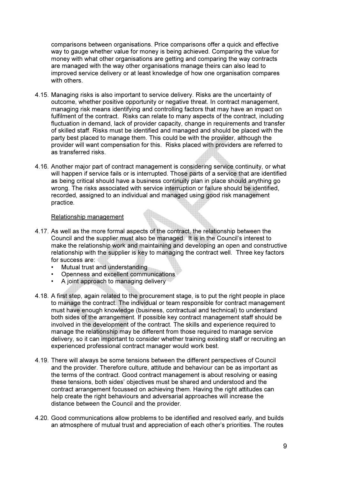comparisons between organisations. Price comparisons offer a quick and effective way to gauge whether value for money is being achieved. Comparing the value for money with what other organisations are getting and comparing the way contracts are managed with the way other organisations manage theirs can also lead to improved service delivery or at least knowledge of how one organisation compares with others.

- 4.15. Managing risks is also important to service delivery. Risks are the uncertainty of outcome, whether positive opportunity or negative threat. In contract management, managing risk means identifying and controlling factors that may have an impact on fulfilment of the contract. Risks can relate to many aspects of the contract, including fluctuation in demand, lack of provider capacity, change in requirements and transfer of skilled staff. Risks must be identified and managed and should be placed with the party best placed to manage them. This could be with the provider, although the provider will want compensation for this. Risks placed with providers are referred to as transferred risks.
- 4.16. Another major part of contract management is considering service continuity, or what will happen if service fails or is interrupted. Those parts of a service that are identified as being critical should have a business continuity plan in place should anything go wrong. The risks associated with service interruption or failure should be identified, recorded, assigned to an individual and managed using good risk management practice.

#### Relationship management

- 4.17. As well as the more formal aspects of the contract, the relationship between the Council and the supplier must also be managed. It is in the Council's interest to make the relationship work and maintaining and developing an open and constructive relationship with the supplier is key to managing the contract well. Three key factors for success are:
	- Mutual trust and understanding
	- Openness and excellent communications
	- A joint approach to managing delivery
- 4.18. A first step, again related to the procurement stage, is to put the right people in place to manage the contract. The individual or team responsible for contract management must have enough knowledge (business, contractual and technical) to understand both sides of the arrangement. If possible key contract management staff should be involved in the development of the contract. The skills and experience required to manage the relationship may be different from those required to manage service delivery, so it can important to consider whether training existing staff or recruiting an experienced professional contract manager would work best.
- 4.19. There will always be some tensions between the different perspectives of Council and the provider. Therefore culture, attitude and behaviour can be as important as the terms of the contract. Good contract management is about resolving or easing these tensions, both sides' objectives must be shared and understood and the contract arrangement focussed on achieving them. Having the right attitudes can help create the right behaviours and adversarial approaches will increase the distance between the Council and the provider.
- 4.20. Good communications allow problems to be identified and resolved early, and builds an atmosphere of mutual trust and appreciation of each other's priorities. The routes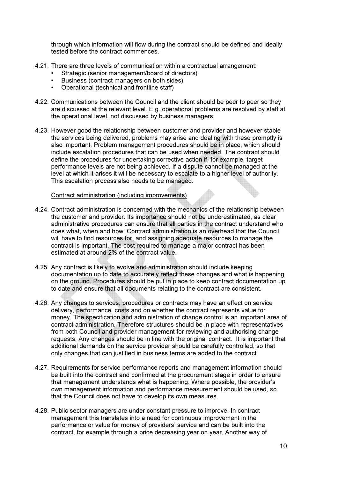through which information will flow during the contract should be defined and ideally tested before the contract commences.

- 4.21. There are three levels of communication within a contractual arrangement:
	- Strategic (senior management/board of directors)
	- Business (contract managers on both sides)
	- Operational (technical and frontline staff)
- 4.22. Communications between the Council and the client should be peer to peer so they are discussed at the relevant level. E.g. operational problems are resolved by staff at the operational level, not discussed by business managers.
- 4.23. However good the relationship between customer and provider and however stable the services being delivered, problems may arise and dealing with these promptly is also important. Problem management procedures should be in place, which should include escalation procedures that can be used when needed. The contract should define the procedures for undertaking corrective action if, for example, target performance levels are not being achieved. If a dispute cannot be managed at the level at which it arises it will be necessary to escalate to a higher level of authority. This escalation process also needs to be managed.

#### Contract administration (including improvements)

- 4.24. Contract administration is concerned with the mechanics of the relationship between the customer and provider. Its importance should not be underestimated, as clear administrative procedures can ensure that all parties in the contract understand who does what, when and how. Contract administration is an overhead that the Council will have to find resources for, and assigning adequate resources to manage the contract is important. The cost required to manage a major contract has been estimated at around 2% of the contract value.
- 4.25. Any contract is likely to evolve and administration should include keeping documentation up to date to accurately reflect these changes and what is happening on the ground. Procedures should be put in place to keep contract documentation up to date and ensure that all documents relating to the contract are consistent.
- 4.26. Any changes to services, procedures or contracts may have an effect on service delivery, performance, costs and on whether the contract represents value for money. The specification and administration of change control is an important area of contract administration. Therefore structures should be in place with representatives from both Council and provider management for reviewing and authorising change requests. Any changes should be in line with the original contract. It is important that additional demands on the service provider should be carefully controlled, so that only changes that can justified in business terms are added to the contract.
- 4.27. Requirements for service performance reports and management information should be built into the contract and confirmed at the procurement stage in order to ensure that management understands what is happening. Where possible, the provider's own management information and performance measurement should be used, so that the Council does not have to develop its own measures.
- 4.28. Public sector managers are under constant pressure to improve. In contract management this translates into a need for continuous improvement in the performance or value for money of providers' service and can be built into the contract, for example through a price decreasing year on year. Another way of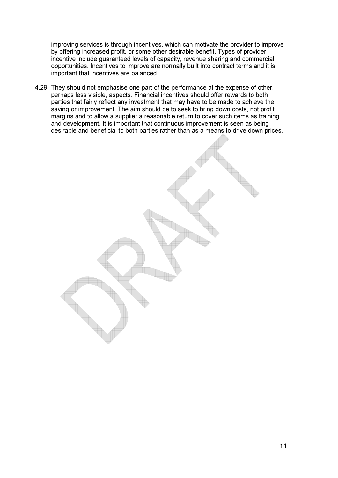improving services is through incentives, which can motivate the provider to improve by offering increased profit, or some other desirable benefit. Types of provider incentive include guaranteed levels of capacity, revenue sharing and commercial opportunities. Incentives to improve are normally built into contract terms and it is important that incentives are balanced.

4.29. They should not emphasise one part of the performance at the expense of other, perhaps less visible, aspects. Financial incentives should offer rewards to both parties that fairly reflect any investment that may have to be made to achieve the saving or improvement. The aim should be to seek to bring down costs, not profit margins and to allow a supplier a reasonable return to cover such items as training and development. It is important that continuous improvement is seen as being desirable and beneficial to both parties rather than as a means to drive down prices.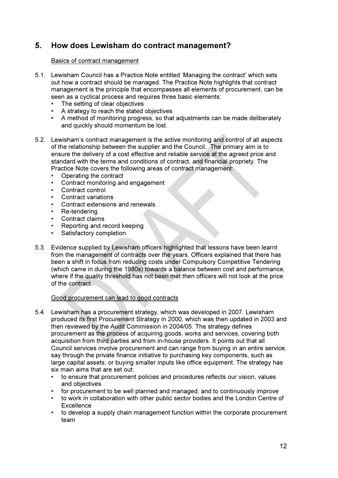## 5. How does Lewisham do contract management?

#### Basics of contract management

- 5.1. Lewisham Council has a Practice Note entitled 'Managing the contract' which sets out how a contract should be managed. The Practice Note highlights that contract management is the principle that encompasses all elements of procurement, can be seen as a cyclical process and requires three basic elements:
	- The setting of clear objectives
	- A strategy to reach the stated objectives
	- A method of monitoring progress, so that adjustments can be made deliberately and quickly should momentum be lost.
- 5.2. Lewisham's contract management is the active monitoring and control of all aspects of the relationship between the supplier and the Council. The primary aim is to ensure the delivery of a cost effective and reliable service at the agreed price and standard with the terms and conditions of contract, and financial propriety. The Practice Note covers the following areas of contract management:
	- Operating the contract
	- Contract monitoring and engagement
	- Contract control
	- Contract variations
	- Contract extensions and renewals
	- Re-tendering
	- Contract claims
	- Reporting and record keeping
	- Satisfactory completion
- 5.3. Evidence supplied by Lewisham officers highlighted that lessons have been learnt from the management of contracts over the years. Officers explained that there has been a shift in focus from reducing costs under Compulsory Competitive Tendering (which came in during the 1980s) towards a balance between cost and performance, where if the quality threshold has not been met then officers will not look at the price of the contract.

#### Good procurement can lead to good contracts

- 5.4. Lewisham has a procurement strategy, which was developed in 2007. Lewisham produced its first Procurement Strategy in 2000, which was then updated in 2003 and then reviewed by the Audit Commission in 2004/05. The strategy defines procurement as the process of acquiring goods, works and services, covering both acquisition from third parties and from in-house providers. It points out that all Council services involve procurement and can range from buying in an entire service, say through the private finance initiative to purchasing key components, such as large capital assets, or buying smaller inputs like office equipment. The strategy has six main aims that are set out:
	- to ensure that procurement policies and procedures reflects our vision, values and objectives
	- for procurement to be well planned and managed, and to continuously improve
	- to work in collaboration with other public sector bodies and the London Centre of **Excellence**
	- to develop a supply chain management function within the corporate procurement team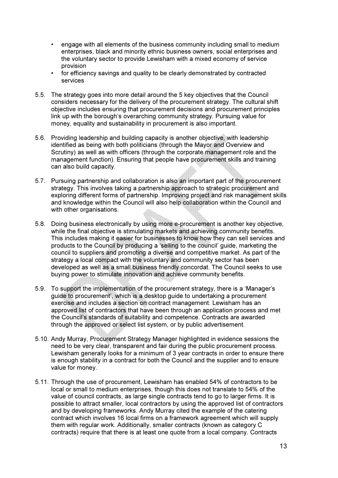- engage with all elements of the business community including small to medium enterprises, black and minority ethnic business owners, social enterprises and the voluntary sector to provide Lewisham with a mixed economy of service provision
- for efficiency savings and quality to be clearly demonstrated by contracted services
- 5.5. The strategy goes into more detail around the 5 key objectives that the Council considers necessary for the delivery of the procurement strategy. The cultural shift objective includes ensuring that procurement decisions and procurement principles link up with the borough's overarching community strategy. Pursuing value for money, equality and sustainability in procurement is also important.
- 5.6. Providing leadership and building capacity is another objective, with leadership identified as being with both politicians (through the Mayor and Overview and Scrutiny) as well as with officers (through the corporate management role and the management function). Ensuring that people have procurement skills and training can also build capacity.
- 5.7. Pursuing partnership and collaboration is also an important part of the procurement strategy. This involves taking a partnership approach to strategic procurement and exploring different forms of partnership. Improving project and risk management skills and knowledge within the Council will also help collaboration within the Council and with other organisations.
- 5.8. Doing business electronically by using more e-procurement is another key objective, while the final objective is stimulating markets and achieving community benefits. This includes making it easier for businesses to know how they can sell services and products to the Council by producing a 'selling to the council' guide, marketing the council to suppliers and promoting a diverse and competitive market. As part of the strategy a local compact with the voluntary and community sector has been developed as well as a small business friendly concordat. The Council seeks to use buying power to stimulate innovation and achieve community benefits.
- 5.9. To support the implementation of the procurement strategy, there is a 'Manager's guide to procurement', which is a desktop guide to undertaking a procurement exercise and includes a section on contract management. Lewisham has an approved list of contractors that have been through an application process and met the Council's standards of suitability and competence. Contracts are awarded through the approved or select list system, or by public advertisement.
- 5.10. Andy Murray, Procurement Strategy Manager highlighted in evidence sessions the need to be very clear, transparent and fair during the public procurement process. Lewisham generally looks for a minimum of 3 year contracts in order to ensure there is enough stability in a contract for both the Council and the supplier and to ensure value for money.
- 5.11. Through the use of procurement, Lewisham has enabled 54% of contractors to be local or small to medium enterprises, though this does not translate to 54% of the value of council contracts, as large single contracts tend to go to larger firms. It is possible to attract smaller, local contractors by using the approved list of contractors and by developing frameworks. Andy Murray cited the example of the catering contract which involves 16 local firms on a framework agreement which will supply them with regular work. Additionally, smaller contracts (known as category C contracts) require that there is at least one quote from a local company. Contracts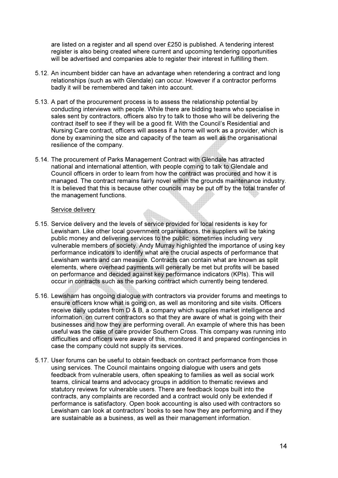are listed on a register and all spend over £250 is published. A tendering interest register is also being created where current and upcoming tendering opportunities will be advertised and companies able to register their interest in fulfilling them.

- 5.12. An incumbent bidder can have an advantage when retendering a contract and long relationships (such as with Glendale) can occur. However if a contractor performs badly it will be remembered and taken into account.
- 5.13. A part of the procurement process is to assess the relationship potential by conducting interviews with people. While there are bidding teams who specialise in sales sent by contractors, officers also try to talk to those who will be delivering the contract itself to see if they will be a good fit. With the Council's Residential and Nursing Care contract, officers will assess if a home will work as a provider, which is done by examining the size and capacity of the team as well as the organisational resilience of the company.
- 5.14. The procurement of Parks Management Contract with Glendale has attracted national and international attention, with people coming to talk to Glendale and Council officers in order to learn from how the contract was procured and how it is managed. The contract remains fairly novel within the grounds maintenance industry. It is believed that this is because other councils may be put off by the total transfer of the management functions.

#### Service delivery

- 5.15. Service delivery and the levels of service provided for local residents is key for Lewisham. Like other local government organisations, the suppliers will be taking public money and delivering services to the public, sometimes including very vulnerable members of society. Andy Murray highlighted the importance of using key performance indicators to identify what are the crucial aspects of performance that Lewisham wants and can measure. Contracts can contain what are known as split elements, where overhead payments will generally be met but profits will be based on performance and decided against key performance indicators (KPIs). This will occur in contracts such as the parking contract which currently being tendered.
- 5.16. Lewisham has ongoing dialogue with contractors via provider forums and meetings to ensure officers know what is going on, as well as monitoring and site visits. Officers receive daily updates from D & B, a company which supplies market intelligence and information, on current contractors so that they are aware of what is going with their businesses and how they are performing overall. An example of where this has been useful was the case of care provider Southern Cross. This company was running into difficulties and officers were aware of this, monitored it and prepared contingencies in case the company could not supply its services.
- 5.17. User forums can be useful to obtain feedback on contract performance from those using services. The Council maintains ongoing dialogue with users and gets feedback from vulnerable users, often speaking to families as well as social work teams, clinical teams and advocacy groups in addition to thematic reviews and statutory reviews for vulnerable users. There are feedback loops built into the contracts, any complaints are recorded and a contract would only be extended if performance is satisfactory. Open book accounting is also used with contractors so Lewisham can look at contractors' books to see how they are performing and if they are sustainable as a business, as well as their management information.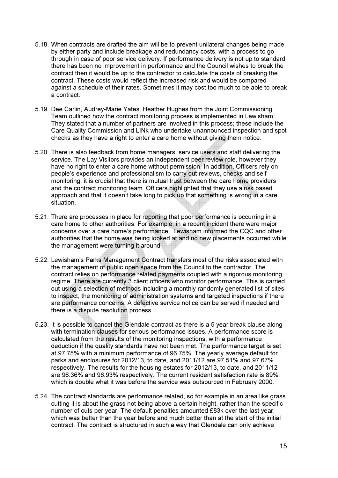- 5.18. When contracts are drafted the aim will be to prevent unilateral changes being made by either party and include breakage and redundancy costs, with a process to go through in case of poor service delivery. If performance delivery is not up to standard, there has been no improvement in performance and the Council wishes to break the contract then it would be up to the contractor to calculate the costs of breaking the contract. These costs would reflect the increased risk and would be compared against a schedule of their rates. Sometimes it may cost too much to be able to break a contract.
- 5.19. Dee Carlin, Audrey-Marie Yates, Heather Hughes from the Joint Commissioning Team outlined how the contract monitoring process is implemented in Lewisham. They stated that a number of partners are involved in this process; these include the Care Quality Commission and LINk who undertake unannounced inspection and spot checks as they have a right to enter a care home without giving them notice.
- 5.20. There is also feedback from home managers, service users and staff delivering the service. The Lay Visitors provides an independent peer review role, however they have no right to enter a care home without permission. In addition, Officers rely on people's experience and professionalism to carry out reviews, checks and selfmonitoring; it is crucial that there is mutual trust between the care home providers and the contract monitoring team. Officers highlighted that they use a risk based approach and that it doesn't take long to pick up that something is wrong in a care situation.
- 5.21. There are processes in place for reporting that poor performance is occurring in a care home to other authorities. For example, in a recent incident there were major concerns over a care home's performance. Lewisham informed the CQC and other authorities that the home was being looked at and no new placements occurred while the management were turning it around.
- 5.22. Lewisham's Parks Management Contract transfers most of the risks associated with the management of public open space from the Council to the contractor. The contract relies on performance related payments coupled with a rigorous monitoring regime. There are currently 3 client officers who monitor performance. This is carried out using a selection of methods including a monthly randomly generated list of sites to inspect, the monitoring of administration systems and targeted inspections if there are performance concerns. A defective service notice can be served if needed and there is a dispute resolution process.
- 5.23. It is possible to cancel the Glendale contract as there is a 5 year break clause along with termination clauses for serious performance issues. A performance score is calculated from the results of the monitoring inspections, with a performance deduction if the quality standards have not been met. The performance target is set at 97.75% with a minimum performance of 96.75%. The yearly average default for parks and enclosures for 2012/13, to date, and 2011/12 are 97.51% and 97.67% respectively. The results for the housing estates for 2012/13, to date, and 2011/12 are 96.36% and 96.93% respectively. The current resident satisfaction rate is 89%, which is double what it was before the service was outsourced in February 2000.
- 5.24. The contract standards are performance related, so for example in an area like grass cutting it is about the grass not being above a certain height, rather than the specific number of cuts per year. The default penalties amounted £83k over the last year, which was better than the year before and much better than at the start of the initial contract. The contract is structured in such a way that Glendale can only achieve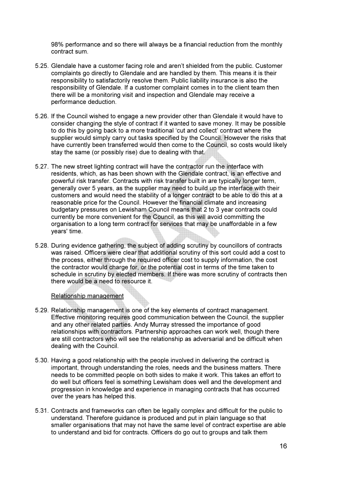98% performance and so there will always be a financial reduction from the monthly contract sum.

- 5.25. Glendale have a customer facing role and aren't shielded from the public. Customer complaints go directly to Glendale and are handled by them. This means it is their responsibility to satisfactorily resolve them. Public liability insurance is also the responsibility of Glendale. If a customer complaint comes in to the client team then there will be a monitoring visit and inspection and Glendale may receive a performance deduction.
- 5.26. If the Council wished to engage a new provider other than Glendale it would have to consider changing the style of contract if it wanted to save money. It may be possible to do this by going back to a more traditional 'cut and collect' contract where the supplier would simply carry out tasks specified by the Council. However the risks that have currently been transferred would then come to the Council, so costs would likely stay the same (or possibly rise) due to dealing with that.
- 5.27. The new street lighting contract will have the contractor run the interface with residents, which, as has been shown with the Glendale contract, is an effective and powerful risk transfer. Contracts with risk transfer built in are typically longer term, generally over 5 years, as the supplier may need to build up the interface with their customers and would need the stability of a longer contract to be able to do this at a reasonable price for the Council. However the financial climate and increasing budgetary pressures on Lewisham Council means that 2 to 3 year contracts could currently be more convenient for the Council, as this will avoid committing the organisation to a long term contract for services that may be unaffordable in a few years' time.
- 5.28. During evidence gathering, the subject of adding scrutiny by councillors of contracts was raised. Officers were clear that additional scrutiny of this sort could add a cost to the process, either through the required officer cost to supply information, the cost the contractor would charge for, or the potential cost in terms of the time taken to schedule in scrutiny by elected members. If there was more scrutiny of contracts then there would be a need to resource it.

#### Relationship management

- 5.29. Relationship management is one of the key elements of contract management. Effective monitoring requires good communication between the Council, the supplier and any other related parties. Andy Murray stressed the importance of good relationships with contractors. Partnership approaches can work well, though there are still contractors who will see the relationship as adversarial and be difficult when dealing with the Council.
- 5.30. Having a good relationship with the people involved in delivering the contract is important, through understanding the roles, needs and the business matters. There needs to be committed people on both sides to make it work. This takes an effort to do well but officers feel is something Lewisham does well and the development and progression in knowledge and experience in managing contracts that has occurred over the years has helped this.
- 5.31. Contracts and frameworks can often be legally complex and difficult for the public to understand. Therefore guidance is produced and put in plain language so that smaller organisations that may not have the same level of contract expertise are able to understand and bid for contracts. Officers do go out to groups and talk them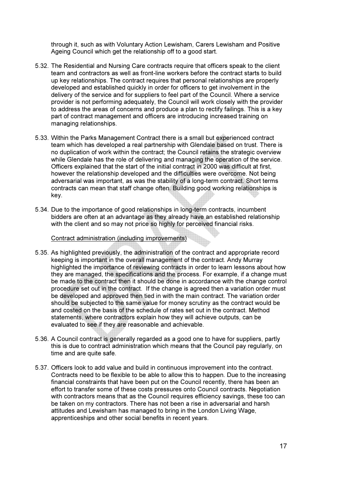through it, such as with Voluntary Action Lewisham, Carers Lewisham and Positive Ageing Council which get the relationship off to a good start.

- 5.32. The Residential and Nursing Care contracts require that officers speak to the client team and contractors as well as front-line workers before the contract starts to build up key relationships. The contract requires that personal relationships are properly developed and established quickly in order for officers to get involvement in the delivery of the service and for suppliers to feel part of the Council. Where a service provider is not performing adequately, the Council will work closely with the provider to address the areas of concerns and produce a plan to rectify failings. This is a key part of contract management and officers are introducing increased training on managing relationships.
- 5.33. Within the Parks Management Contract there is a small but experienced contract team which has developed a real partnership with Glendale based on trust. There is no duplication of work within the contract; the Council retains the strategic overview while Glendale has the role of delivering and managing the operation of the service. Officers explained that the start of the initial contract in 2000 was difficult at first, however the relationship developed and the difficulties were overcome. Not being adversarial was important, as was the stability of a long-term contract. Short terms contracts can mean that staff change often. Building good working relationships is key.
- 5.34. Due to the importance of good relationships in long-term contracts, incumbent bidders are often at an advantage as they already have an established relationship with the client and so may not price so highly for perceived financial risks.

#### Contract administration (including improvements)

- 5.35. As highlighted previously, the administration of the contract and appropriate record keeping is important in the overall management of the contract. Andy Murray highlighted the importance of reviewing contracts in order to learn lessons about how they are managed, the specifications and the process. For example, if a change must be made to the contract then it should be done in accordance with the change control procedure set out in the contract. If the change is agreed then a variation order must be developed and approved then tied in with the main contract. The variation order should be subjected to the same value for money scrutiny as the contract would be and costed on the basis of the schedule of rates set out in the contract. Method statements, where contractors explain how they will achieve outputs, can be evaluated to see if they are reasonable and achievable.
- 5.36. A Council contract is generally regarded as a good one to have for suppliers, partly this is due to contract administration which means that the Council pay regularly, on time and are quite safe.
- 5.37. Officers look to add value and build in continuous improvement into the contract. Contracts need to be flexible to be able to allow this to happen. Due to the increasing financial constraints that have been put on the Council recently, there has been an effort to transfer some of these costs pressures onto Council contracts. Negotiation with contractors means that as the Council requires efficiency savings, these too can be taken on my contractors. There has not been a rise in adversarial and harsh attitudes and Lewisham has managed to bring in the London Living Wage, apprenticeships and other social benefits in recent years.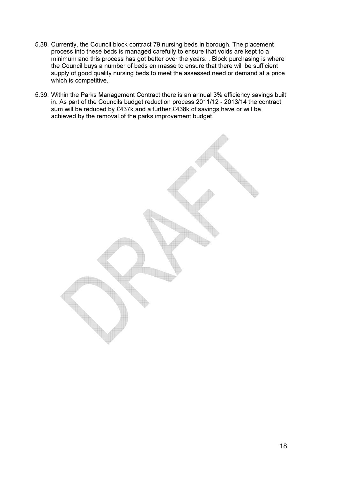- 5.38. Currently, the Council block contract 79 nursing beds in borough. The placement process into these beds is managed carefully to ensure that voids are kept to a minimum and this process has got better over the years. . Block purchasing is where the Council buys a number of beds en masse to ensure that there will be sufficient supply of good quality nursing beds to meet the assessed need or demand at a price which is competitive.
- 5.39. Within the Parks Management Contract there is an annual 3% efficiency savings built in. As part of the Councils budget reduction process 2011/12 - 2013/14 the contract sum will be reduced by £437k and a further £438k of savings have or will be achieved by the removal of the parks improvement budget.

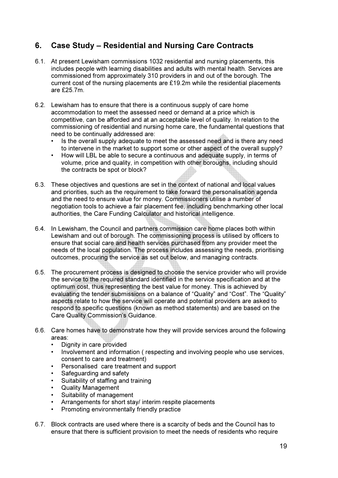## 6. Case Study – Residential and Nursing Care Contracts

- 6.1. At present Lewisham commissions 1032 residential and nursing placements, this includes people with learning disabilities and adults with mental health. Services are commissioned from approximately 310 providers in and out of the borough. The current cost of the nursing placements are £19.2m while the residential placements are £25.7m.
- 6.2. Lewisham has to ensure that there is a continuous supply of care home accommodation to meet the assessed need or demand at a price which is competitive, can be afforded and at an acceptable level of quality. In relation to the commissioning of residential and nursing home care, the fundamental questions that need to be continually addressed are:
	- Is the overall supply adequate to meet the assessed need and is there any need to intervene in the market to support some or other aspect of the overall supply?
	- How will LBL be able to secure a continuous and adequate supply, in terms of volume, price and quality, in competition with other boroughs, including should the contracts be spot or block?
- 6.3. These objectives and questions are set in the context of national and local values and priorities, such as the requirement to take forward the personalisation agenda and the need to ensure value for money. Commissioners utilise a number of negotiation tools to achieve a fair placement fee, including benchmarking other local authorities, the Care Funding Calculator and historical intelligence.
- 6.4. In Lewisham, the Council and partners commission care home places both within Lewisham and out of borough. The commissioning process is utilised by officers to ensure that social care and health services purchased from any provider meet the needs of the local population. The process includes assessing the needs, prioritising outcomes, procuring the service as set out below, and managing contracts.
- 6.5. The procurement process is designed to choose the service provider who will provide the service to the required standard identified in the service specification and at the optimum cost, thus representing the best value for money. This is achieved by evaluating the tender submissions on a balance of "Quality" and "Cost". The "Quality" aspects relate to how the service will operate and potential providers are asked to respond to specific questions (known as method statements) and are based on the Care Quality Commission's Guidance.
- 6.6. Care homes have to demonstrate how they will provide services around the following areas:
	- Dignity in care provided
	- Involvement and information ( respecting and involving people who use services, consent to care and treatment)
	- Personalised care treatment and support
	- Safeguarding and safety
	- Suitability of staffing and training
	- Quality Management
	- Suitability of management
	- Arrangements for short stay/ interim respite placements
	- Promoting environmentally friendly practice
- 6.7. Block contracts are used where there is a scarcity of beds and the Council has to ensure that there is sufficient provision to meet the needs of residents who require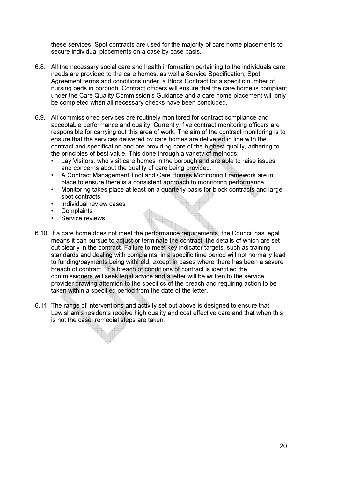these services. Spot contracts are used for the majority of care home placements to secure individual placements on a case by case basis.

- 6.8. All the necessary social care and health information pertaining to the individuals care needs are provided to the care homes, as well a Service Specification, Spot Agreement terms and conditions under a Block Contract for a specific number of nursing beds in borough. Contract officers will ensure that the care home is compliant under the Care Quality Commission's Guidance and a care home placement will only be completed when all necessary checks have been concluded.
- 6.9. All commissioned services are routinely monitored for contract compliance and acceptable performance and quality. Currently, five contract monitoring officers are responsible for carrying out this area of work. The aim of the contract monitoring is to ensure that the services delivered by care homes are delivered in line with the contract and specification and are providing care of the highest quality, adhering to the principles of best value. This done through a variety of methods:
	- Lay Visitors, who visit care homes in the borough and are able to raise issues and concerns about the quality of care being provided.
	- A Contract Management Tool and Care Homes Monitoring Framework are in place to ensure there is a consistent approach to monitoring performance
	- Monitoring takes place at least on a quarterly basis for block contracts and large spot contracts.
	- Individual review cases
	- **Complaints**
	- Service reviews
- 6.10. If a care home does not meet the performance requirements, the Council has legal means it can pursue to adjust or terminate the contract, the details of which are set out clearly in the contract. Failure to meet key indicator targets, such as training standards and dealing with complaints, in a specific time period will not normally lead to funding/payments being withheld, except in cases where there has been a severe breach of contract. If a breach of conditions of contract is identified the commissioners will seek legal advice and a letter will be written to the service provider drawing attention to the specifics of the breach and requiring action to be taken within a specified period from the date of the letter.
- 6.11. The range of interventions and activity set out above is designed to ensure that Lewisham's residents receive high quality and cost effective care and that when this is not the case, remedial steps are taken.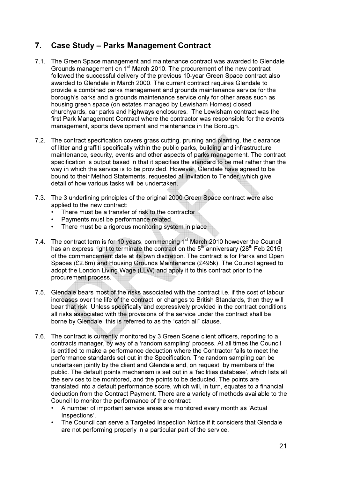## 7. Case Study – Parks Management Contract

- 7.1. The Green Space management and maintenance contract was awarded to Glendale Grounds management on 1st March 2010. The procurement of the new contract followed the successful delivery of the previous 10-year Green Space contract also awarded to Glendale in March 2000. The current contract requires Glendale to provide a combined parks management and grounds maintenance service for the borough's parks and a grounds maintenance service only for other areas such as housing green space (on estates managed by Lewisham Homes) closed churchyards, car parks and highways enclosures. The Lewisham contract was the first Park Management Contract where the contractor was responsible for the events management, sports development and maintenance in the Borough.
- 7.2. The contract specification covers grass cutting, pruning and planting, the clearance of litter and graffiti specifically within the public parks, building and infrastructure maintenance, security, events and other aspects of parks management. The contract specification is output based in that it specifies the standard to be met rather than the way in which the service is to be provided. However, Glendale have agreed to be bound to their Method Statements, requested at Invitation to Tender, which give detail of how various tasks will be undertaken.
- 7.3. The 3 underlining principles of the original 2000 Green Space contract were also applied to the new contract:
	- There must be a transfer of risk to the contractor
	- Payments must be performance related
	- There must be a rigorous monitoring system in place
- 7.4. The contract term is for 10 years, commencing  $1<sup>st</sup>$  March 2010 however the Council has an express right to terminate the contract on the  $5<sup>th</sup>$  anniversary (28<sup>th</sup> Feb 2015) of the commencement date at its own discretion. The contract is for Parks and Open Spaces (£2.8m) and Housing Grounds Maintenance (£495k). The Council agreed to adopt the London Living Wage (LLW) and apply it to this contract prior to the procurement process.
- 7.5. Glendale bears most of the risks associated with the contract i.e. if the cost of labour increases over the life of the contract, or changes to British Standards, then they will bear that risk. Unless specifically and expressively provided in the contract conditions all risks associated with the provisions of the service under the contract shall be borne by Glendale, this is referred to as the "catch all" clause.
- 7.6. The contract is currently monitored by 3 Green Scene client officers, reporting to a contracts manager, by way of a 'random sampling' process. At all times the Council is entitled to make a performance deduction where the Contractor fails to meet the performance standards set out in the Specification. The random sampling can be undertaken jointly by the client and Glendale and, on request, by members of the public. The default points mechanism is set out in a 'facilities database', which lists all the services to be monitored, and the points to be deducted. The points are translated into a default performance score, which will, in turn, equates to a financial deduction from the Contract Payment. There are a variety of methods available to the Council to monitor the performance of the contract:
	- A number of important service areas are monitored every month as 'Actual Inspections'.
	- The Council can serve a Targeted Inspection Notice if it considers that Glendale are not performing properly in a particular part of the service.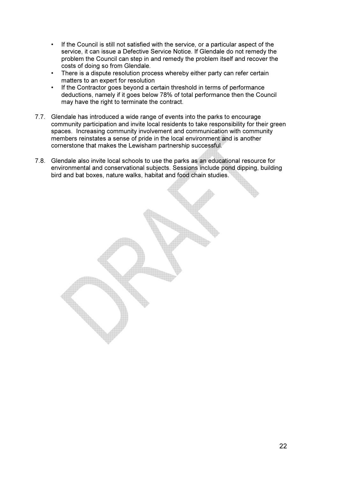- If the Council is still not satisfied with the service, or a particular aspect of the service, it can issue a Defective Service Notice. If Glendale do not remedy the problem the Council can step in and remedy the problem itself and recover the costs of doing so from Glendale.
- There is a dispute resolution process whereby either party can refer certain matters to an expert for resolution
- If the Contractor goes beyond a certain threshold in terms of performance deductions, namely if it goes below 78% of total performance then the Council may have the right to terminate the contract.
- 7.7. Glendale has introduced a wide range of events into the parks to encourage community participation and invite local residents to take responsibility for their green spaces. Increasing community involvement and communication with community members reinstates a sense of pride in the local environment and is another cornerstone that makes the Lewisham partnership successful.
- 7.8. Glendale also invite local schools to use the parks as an educational resource for environmental and conservational subjects. Sessions include pond dipping, building bird and bat boxes, nature walks, habitat and food chain studies.